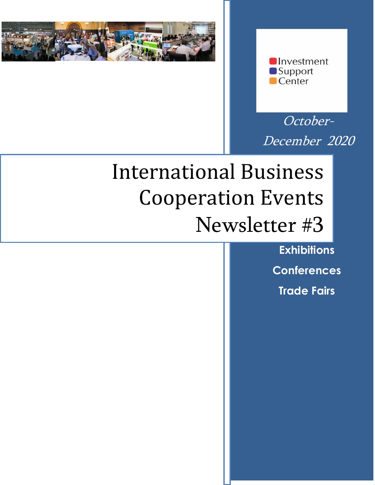



October-December 2020

# International Business Cooperation Events Newsletter #3

**Exhibitions Conferences Trade Fairs**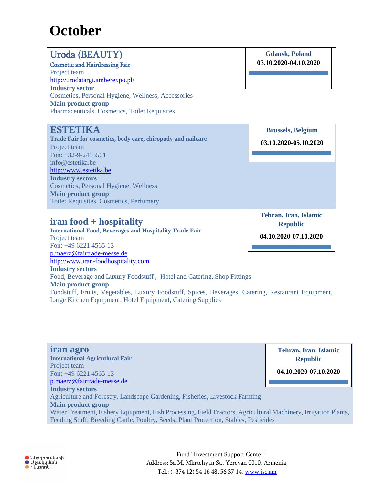## **October**

## Uroda (BEAUTY)

Cosmetic and Hairdressing Fair

Project team <http://urodatargi.amberexpo.pl/> **Industry sector** Cosmetics, Personal Hygiene, Wellness, Accessories **Main product group** Pharmaceuticals, Cosmetics, Toilet Requisites

### **ESTETIKA**

**Trade Fair for cosmetics, body care, chiropody and nailcare** Project team Fon: +32-9-2415501 info@estetika.be [http://www.estetika.be](http://www.estetika.be/) **Industry sectors** Cosmetics, Personal Hygiene, Wellness **Main product group** Toilet Requisites, Cosmetics, Perfumery

**iran food + hospitality**

**International Food, Beverages and Hospitality Trade Fair** Project team Fon: +49 6221 4565-13 [p.maerz@fairtrade-messe.de](mailto:p.maerz@fairtrade-messe.de) [http://www.iran-foodhospitality.com](http://www.iran-foodhospitality.com/) **Industry sectors** Food, Beverage and Luxury Foodstuff , Hotel and Catering, Shop Fittings **Main product group** Foodstuff, Fruits, Vegetables, Luxury Foodstuff, Spices, Beverages, Catering, Restaurant Equipment, Large Kitchen Equipment, Hotel Equipment, Catering Supplies

**iran agro International Agricutlural Fair** Project team Fon: +49 6221 4565-13 [p.maerz@fairtrade-messe.de](mailto:p.maerz@fairtrade-messe.de) **Industry sectors** Agriculture and Forestry, Landscape Gardening, Fisheries, Livestock Farming **Main product group** Water Treatment, Fishery Equipment, Fish Processing, Field Tractors, Agricultural Machinery, Irrigation Plants, Feeding Stuff, Breeding Cattle, Poultry, Seeds, Plant Protection, Stables, Pesticides **Republic 04.10.2020-07.10.2020**

**Gdansk, Poland 03.10.2020-04.10.2020**

**Brussels, Belgium**

**03.10.2020-05.10.2020**

**Tehran, Iran, Islamic Republic**

**04.10.2020-07.10.2020**

**Tehran, Iran, Islamic**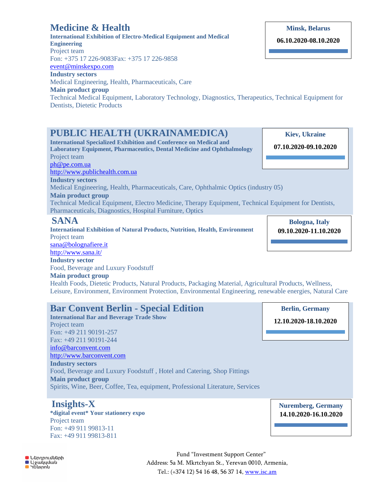#### **Main product group** Technical Medical Equipment, Laboratory Technology, Diagnostics, Therapeutics, Technical Equipment for Dentists, Dietetic Products

**Engineering** Project team

**Medicine & Health**

[event@minskexpo.com](mailto:event@minskexpo.com) **Industry sectors**

Fon: +375 17 226-9083Fax: +375 17 226-9858

Medical Engineering, Health, Pharmaceuticals, Care

## **PUBLIC HEALTH (UKRAINAMEDICA)**

**International Exhibition of Electro-Medical Equipment and Medical** 

**International Specialized Exhibition and Conference on Medical and Laboratory Equipment, Pharmaceutics, Dental Medicine and Ophthalmology** Project team [ph@pe.com.ua](mailto:ph@pe.com.ua)  [http://www.publichealth.com.ua](http://www.publichealth.com.ua/) **Industry sectors** Medical Engineering, Health, Pharmaceuticals, Care, Ophthalmic Optics (industry 05) **Main product group** Technical Medical Equipment, Electro Medicine, Therapy Equipment, Technical Equipment for Dentists, Pharmaceuticals, Diagnostics, Hospital Furniture, Optics

#### **SANA**

**International Exhibition of Natural Products, Nutrition, Health, Environment** Project team [sana@bolognafiere.it](mailto:sana@bolognafiere.it) <http://www.sana.it/>

## **Industry sector**

Food, Beverage and Luxury Foodstuff

#### **Main product group**

Health Foods, Dietetic Products, Natural Products, Packaging Material, Agricultural Products, Wellness, Leisure, Environment, Environment Protection, Environmental Engineering, renewable energies, Natural Care

## **Bar Convent Berlin - Special Edition**

**International Bar and Beverage Trade Show** Project team Fon: +49 211 90191-257 Fax: +49 211 90191-244 [info@barconvent.com](mailto:info@barconvent.com) [http://www.barconvent.com](http://www.barconvent.com/) **Industry sectors** Food, Beverage and Luxury Foodstuff , Hotel and Catering, Shop Fittings **Main product group** Spirits, Wine, Beer, Coffee, Tea, equipment, Professional Literature, Services

## **Insights-X**

**\*digital event\* Your stationery expo** Project team Fon: +49 911 99813-11 Fax: +49 911 99813-811

> Fund "Investment Support Center" Address: 5a M. Mkrtchyan St., Yerevan 0010, Armenia, Tel.: (+374 12) 54 16 48, 56 37 14, [www.isc.am](http://www.isc.am/)

**Minsk, Belarus**

**06.10.2020-08.10.2020**

**Kiev, Ukraine 07.10.2020-09.10.2020**

**Bologna, Italy 09.10.2020-11.10.2020**

**Berlin, Germany 12.10.2020-18.10.2020**

**O** Ներդրումների ■ uninhinedid<br>■ Ugwyydwy<br>■ Yuuspny

**Nuremberg, Germany 14.10.2020-16.10.2020**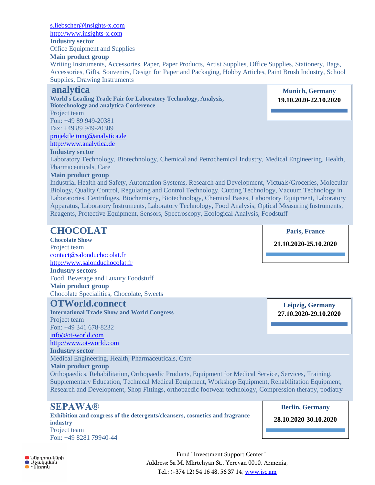[s.liebscher@insights-x.com](mailto:s.liebscher@insights-x.com) [http://www.insights-x.com](http://www.insights-x.com/)

**Industry sector**

Office Equipment and Supplies

#### **Main product group**

Writing Instruments, Accessories, Paper, Paper Products, Artist Supplies, Office Supplies, Stationery, Bags, Accessories, Gifts, Souvenirs, Design for Paper and Packaging, Hobby Articles, Paint Brush Industry, School Supplies, Drawing Instruments

#### **analytica**

**World's Leading Trade Fair for Laboratory Technology, Analysis, Biotechnology and analytica Conference** Project team

Fon: +49 89 949-20381 Fax: +49 89 949-20389

[projektleitung@analytica.de](mailto:projektleitung@analytica.de)

[http://www.analytica.de](http://www.analytica.de/)

#### **Industry sector**

Laboratory Technology, Biotechnology, Chemical and Petrochemical Industry, Medical Engineering, Health, Pharmaceuticals, Care

#### **Main product group**

Industrial Health and Safety, Automation Systems, Research and Development, Victuals/Groceries, Molecular Biology, Quality Control, Regulating and Control Technology, Cutting Technology, Vacuum Technology in Laboratories, Centrifuges, Biochemistry, Biotechnology, Chemical Bases, Laboratory Equipment, Laboratory Apparatus, Laboratory Instruments, Laboratory Technology, Food Analysis, Optical Measuring Instruments, Reagents, Protective Equipment, Sensors, Spectroscopy, Ecological Analysis, Foodstuff

| <b>CHOCOLAT</b>                                                                                         | <b>Paris, France</b>   |
|---------------------------------------------------------------------------------------------------------|------------------------|
| <b>Chocolate Show</b>                                                                                   |                        |
| Project team                                                                                            | 21.10.2020-25.10.2020  |
| contact@salonduchocolat.fr                                                                              |                        |
| http://www.salonduchocolat.fr                                                                           |                        |
| <b>Industry sectors</b>                                                                                 |                        |
| Food, Beverage and Luxury Foodstuff                                                                     |                        |
| <b>Main product group</b>                                                                               |                        |
| Chocolate Specialities, Chocolate, Sweets                                                               |                        |
| <b>OTWorld.connect</b>                                                                                  | Leipzig, Germany       |
| <b>International Trade Show and World Congress</b>                                                      | 27.10.2020-29.10.2020  |
| Project team                                                                                            |                        |
| Fon: +49 341 678-8232                                                                                   |                        |
| info@ot-world.com                                                                                       |                        |
| http://www.ot-world.com                                                                                 |                        |
| <b>Industry sector</b>                                                                                  |                        |
| Medical Engineering, Health, Pharmaceuticals, Care                                                      |                        |
| <b>Main product group</b>                                                                               |                        |
| Orthopaedics, Rehabilitation, Orthopaedic Products, Equipment for Medical Service, Services, Training,  |                        |
| Supplementary Education, Technical Medical Equipment, Workshop Equipment, Rehabilitation Equipment,     |                        |
| Research and Development, Shop Fittings, orthopaedic footwear technology, Compression therapy, podiatry |                        |
| <b>SEPAWA®</b>                                                                                          | <b>Berlin, Germany</b> |
| Exhibition and congress of the detergents/cleansers, cosmetics and fragrance                            |                        |

**Exhibition and congress of the detergents/cleansers, cosmetics and fragrance industry** Project team Fon: +49 8281 79940-44

**28.10.2020-30.10.2020**

**Munich, Germany 19.10.2020-22.10.2020**



Fund "Investment Support Center" Address: 5a M. Mkrtchyan St., Yerevan 0010, Armenia, Tel.: (+374 12) 54 16 48, 56 37 14, [www.isc.am](http://www.isc.am/)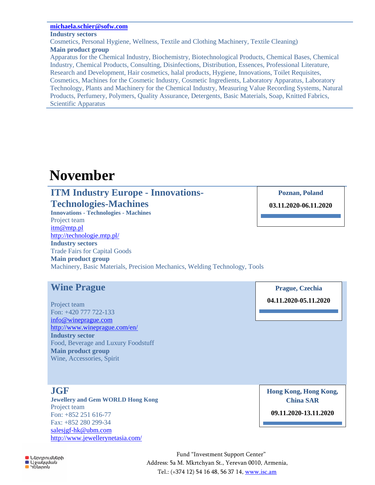#### **[michaela.schier@sofw.com](mailto:michaela.schier@sofw.com)**

#### **Industry sectors**

Cosmetics, Personal Hygiene, Wellness, Textile and Clothing Machinery, Textile Cleaning) **Main product group**

Apparatus for the Chemical Industry, Biochemistry, Biotechnological Products, Chemical Bases, Chemical Industry, Chemical Products, Consulting, Disinfections, Distribution, Essences, Professional Literature, Research and Development, Hair cosmetics, halal products, Hygiene, Innovations, Toilet Requisites, Cosmetics, Machines for the Cosmetic Industry, Cosmetic Ingredients, Laboratory Apparatus, Laboratory Technology, Plants and Machinery for the Chemical Industry, Measuring Value Recording Systems, Natural Products, Perfumery, Polymers, Quality Assurance, Detergents, Basic Materials, Soap, Knitted Fabrics, Scientific Apparatus

## **November**

## **ITM Industry Europe - Innovations-Technologies-Machines**

**Innovations - Technologies - Machines** Project team [itm@mtp.pl](mailto:itm@mtp.pl) <http://technologie.mtp.pl/> **Industry sectors** Trade Fairs for Capital Goods

**Main product group**

Machinery, Basic Materials, Precision Mechanics, Welding Technology, Tools

## **Wine Prague**

Project team Fon: +420 777 722-133 [info@wineprague.com](mailto:info@wineprague.com) <http://www.wineprague.com/en/> **Industry sector** Food, Beverage and Luxury Foodstuff **Main product group** Wine, Accessories, Spirit

**JGF**

**Jewellery and Gem WORLD Hong Kong** Project team Fon: +852 251 616-77 Fax: +852 280 299-34 [salesjgf-hk@ubm.com](mailto:salesjgf-hk@ubm.com) <http://www.jewellerynetasia.com/>

**Hong Kong, Hong Kong, China SAR 09.11.2020-13.11.2020**

**Poznan, Poland 03.11.2020-06.11.2020**

**Prague, Czechia**

**04.11.2020-05.11.2020**

**O** Ներդրումների ■ Աջակսման  $\blacksquare$  40  $\blacksquare$ 

Fund "Investment Support Center" Address: 5a M. Mkrtchyan St., Yerevan 0010, Armenia, Tel.: (+374 12) 54 16 48, 56 37 14, [www.isc.am](http://www.isc.am/)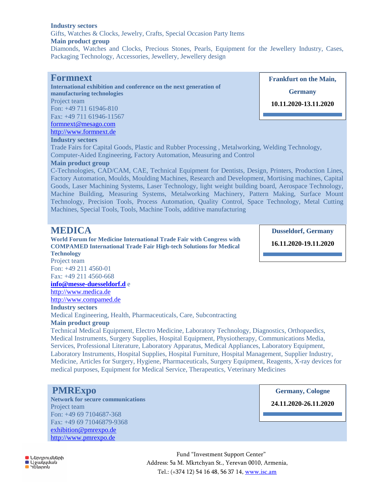#### **Industry sectors**

Gifts, Watches & Clocks, Jewelry, Crafts, Special Occasion Party Items

#### **Main product group**

Diamonds, Watches and Clocks, Precious Stones, Pearls, Equipment for the Jewellery Industry, Cases, Packaging Technology, Accessories, Jewellery, Jewellery design

#### **Formnext**

**International exhibition and conference on the next generation of manufacturing technologies** Project team Fon: +49 711 61946-810 Fax: +49 711 61946-11567 [formnext@mesago.com](mailto:formnext@mesago.com) [http://www.formnext.de](http://www.formnext.de/)

#### **Industry sectors**

Trade Fairs for Capital Goods, Plastic and Rubber Processing , Metalworking, Welding Technology, Computer-Aided Engineering, Factory Automation, Measuring and Control

#### **Main product group**

C-Technologies, CAD/CAM, CAE, Technical Equipment for Dentists, Design, Printers, Production Lines, Factory Automation, Moulds, Moulding Machines, Research and Development, Mortising machines, Capital Goods, Laser Machining Systems, Laser Technology, light weight building board, Aerospace Technology, Machine Building, Measuring Systems, Metalworking Machinery, Pattern Making, Surface Mount Technology, Precision Tools, Process Automation, Quality Control, Space Technology, Metal Cutting Machines, Special Tools, Tools, Machine Tools, additive manufacturing

#### **MEDICA**

**World Forum for Medicine International Trade Fair with Congress with COMPAMED International Trade Fair High-tech Solutions for Medical Technology**

**Dusseldorf, Germany**

**16.11.2020-19.11.2020**

Project team Fon: +49 211 4560-01

Fax: +49 211 4560-668

**[info@messe-duesseldorf.d](mailto:info@messe-duesseldorf.d)** e

[http://www.medica.de](http://www.medica.de/)

[http://www.compamed.de](http://www.compamed.de/)

**Industry sectors**

Medical Engineering, Health, Pharmaceuticals, Care, Subcontracting

#### **Main product group**

Technical Medical Equipment, Electro Medicine, Laboratory Technology, Diagnostics, Orthopaedics, Medical Instruments, Surgery Supplies, Hospital Equipment, Physiotherapy, Communications Media, Services, Professional Literature, Laboratory Apparatus, Medical Appliances, Laboratory Equipment, Laboratory Instruments, Hospital Supplies, Hospital Furniture, Hospital Management, Supplier Industry, Medicine, Articles for Surgery, Hygiene, Pharmaceuticals, Surgery Equipment, Reagents, X-ray devices for medical purposes, Equipment for Medical Service, Therapeutics, Veterinary Medicines

#### **PMRExpo**

**Network for secure communications** Project team Fon: +49 69 7104687-368 Fax: +49 69 71046879-9368 [exhibition@pmrexpo.de](mailto:exhibition@pmrexpo.de) [http://www.pmrexpo.de](http://www.pmrexpo.de/)

**Germany, Cologne** 

**19.11.2020-21.11.2020 24.11.2020-26.11.2020**

**O** Ներդրումների ■ Աջակ̃յման **Gustan** 

Fund "Investment Support Center" Address: 5a M. Mkrtchyan St., Yerevan 0010, Armenia, Tel.: (+374 12) 54 16 48, 56 37 14, [www.isc.am](http://www.isc.am/) 

**Frankfurt on the Main,**

**Germany**

**10.11.2020-13.11.2020**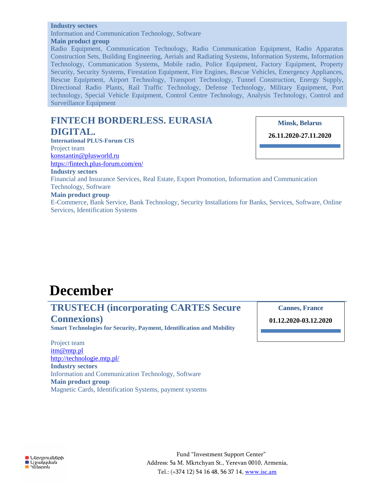#### **Industry sectors**

Information and Communication Technology, Software

**Main product group**

Radio Equipment, Communication Technology, Radio Communication Equipment, Radio Apparatus Construction Sets, Building Engineering, Aerials and Radiating Systems, Information Systems, Information Technology, Communication Systems, Mobile radio, Police Equipment, Factory Equipment, Property Security, Security Systems, Firestation Equipment, Fire Engines, Rescue Vehicles, Emergency Appliances, Rescue Equipment, Airport Technology, Transport Technology, Tunnel Construction, Energy Supply, Directional Radio Plants, Rail Traffic Technology, Defense Technology, Military Equipment, Port technology, Special Vehicle Equipment, Control Centre Technology, Analysis Technology, Control and Surveillance Equipment

## **FINTECH BORDERLESS. EURASIA DIGITAL.**

**International PLUS-Forum CIS** Project team [konstantin@plusworld.ru](mailto:konstantin@plusworld.ru) <https://fintech.plus-forum.com/en/> **Minsk, Belarus**

**26.11.2020-27.11.2020**

**Industry sectors**

Financial and Insurance Services, Real Estate, Export Promotion, Information and Communication Technology, Software

#### **Main product group**

E-Commerce, Bank Service, Bank Technology, Security Installations for Banks, Services, Software, Online Services, Identification Systems

## **December**

### **TRUSTECH (incorporating CARTES Secure Connexions)**

**Smart Technologies for Security, Payment, Identification and Mobility**

Project team [itm@mtp.pl](mailto:itm@mtp.pl) <http://technologie.mtp.pl/> **Industry sectors** Information and Communication Technology, Software **Main product group** Magnetic Cards, Identification Systems, payment systems **Cannes, France**

**01.12.2020-03.12.2020**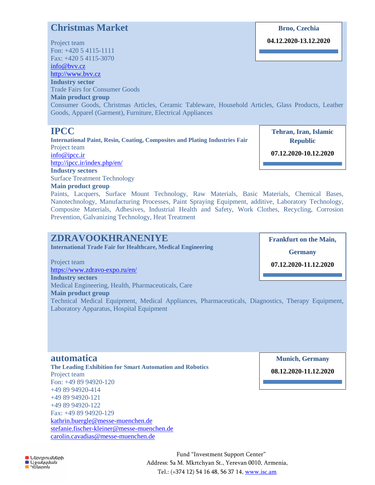### **Christmas Market**

Project team Fon: +420 5 4115-1111 Fax: +420 5 4115-3070 [info@bvv.cz](mailto:info@bvv.cz) [http://www.bvv.cz](http://www.bvv.cz/) **Industry sector** Trade Fairs for Consumer Goods **Main product group** Consumer Goods, Christmas Articles, Ceramic Tableware, Household Articles, Glass Products, Leather Goods, Apparel (Garment), Furniture, Electrical Appliances **IPCC 04.12.2020-13.12.2020 Tehran, Iran, Islamic** 

**International Paint, Resin, Coating, Composites and Plating Industries Fair** Project team [info@ipcc.ir](mailto:info@ipcc.ir) <http://ipcc.ir/index.php/en/>

**Industry sectors**

Surface Treatment Technology

**Main product group**

**Republic**

**Brno, Czechia**

**07.12.2020-10.12.2020**

Paints, Lacquers, Surface Mount Technology, Raw Materials, Basic Materials, Chemical Bases, Nanotechnology, Manufacturing Processes, Paint Spraying Equipment, additive, Laboratory Technology, Composite Materials, Adhesives, Industrial Health and Safety, Work Clothes, Recycling, Corrosion Prevention, Galvanizing Technology, Heat Treatment

## **ZDRAVOOKHRANENIYE**

**International Trade Fair for Healthcare, Medical Engineering**

Project team <https://www.zdravo-expo.ru/en/> **Industry sectors** Medical Engineering, Health, Pharmaceuticals, Care

**Main product group** Technical Medical Equipment, Medical Appliances, Pharmaceuticals, Diagnostics, Therapy Equipment, Laboratory Apparatus, Hospital Equipment

**automatica The Leading Exhibition for Smart Automation and Robotics** Project team Fon: +49 89 94920-120 +49 89 94920-414 +49 89 94920-121 +49 89 94920-122 Fax: +49 89 94920-129 [kathrin.buergle@messe-muenchen.de](mailto:kathrin.buergle@messe-muenchen.de) [stefanie.fischer-kleiner@messe-muenchen.de](mailto:stefanie.fischer-kleiner@messe-muenchen.de) [carolin.cavadias@messe-muenchen.de](mailto:carolin.cavadias@messe-muenchen.de)

**Frankfurt on the Main,**

**Germany**

**07.12.2020-11.12.2020**

**Munich, Germany**

**08.12.2020-11.12.2020**

**O** Ներդրումների ■ Qoulydwu<br>■ Yulispnu

Fund "Investment Support Center" Address: 5a M. Mkrtchyan St., Yerevan 0010, Armenia, Tel.: (+374 12) 54 16 48, 56 37 14, [www.isc.am](http://www.isc.am/)